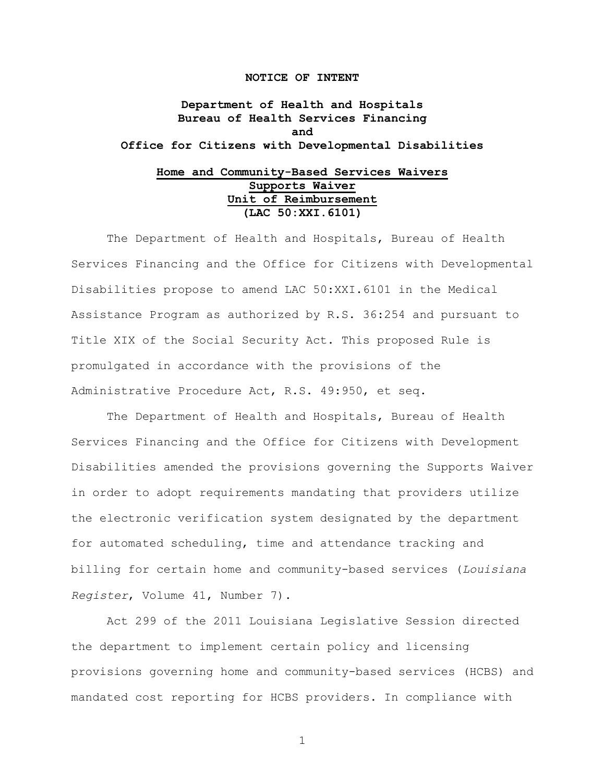### **NOTICE OF INTENT**

**Department of Health and Hospitals Bureau of Health Services Financing and Office for Citizens with Developmental Disabilities**

## **Home and Community-Based Services Waivers Supports Waiver Unit of Reimbursement (LAC 50:XXI.6101)**

The Department of Health and Hospitals, Bureau of Health Services Financing and the Office for Citizens with Developmental Disabilities propose to amend LAC 50:XXI.6101 in the Medical Assistance Program as authorized by R.S. 36:254 and pursuant to Title XIX of the Social Security Act. This proposed Rule is promulgated in accordance with the provisions of the Administrative Procedure Act, R.S. 49:950, et seq.

The Department of Health and Hospitals, Bureau of Health Services Financing and the Office for Citizens with Development Disabilities amended the provisions governing the Supports Waiver in order to adopt requirements mandating that providers utilize the electronic verification system designated by the department for automated scheduling, time and attendance tracking and billing for certain home and community-based services (*Louisiana Register*, Volume 41, Number 7).

Act 299 of the 2011 Louisiana Legislative Session directed the department to implement certain policy and licensing provisions governing home and community-based services (HCBS) and mandated cost reporting for HCBS providers. In compliance with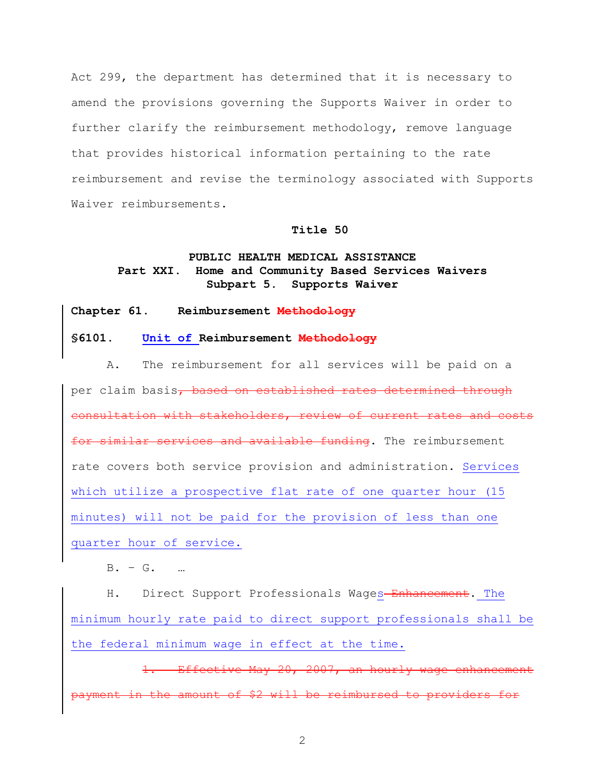Act 299, the department has determined that it is necessary to amend the provisions governing the Supports Waiver in order to further clarify the reimbursement methodology, remove language that provides historical information pertaining to the rate reimbursement and revise the terminology associated with Supports Waiver reimbursements.

### **Title 50**

# **PUBLIC HEALTH MEDICAL ASSISTANCE Part XXI. Home and Community Based Services Waivers Subpart 5. Supports Waiver**

### **Chapter 61. Reimbursement Methodology**

### **§6101. Unit of Reimbursement Methodology**

A. The reimbursement for all services will be paid on a per claim basis, based on established rates determined through consultation with stakeholders, review of current rates and costs for similar services and available funding. The reimbursement rate covers both service provision and administration. Services which utilize a prospective flat rate of one quarter hour (15 minutes) will not be paid for the provision of less than one quarter hour of service.

B. – G. …

H. Direct Support Professionals Wages-Enhancement. The minimum hourly rate paid to direct support professionals shall be the federal minimum wage in effect at the time.

Effective May 20, 2007, an hourly wage enhancement amount of \$2 will be reimbursed to providers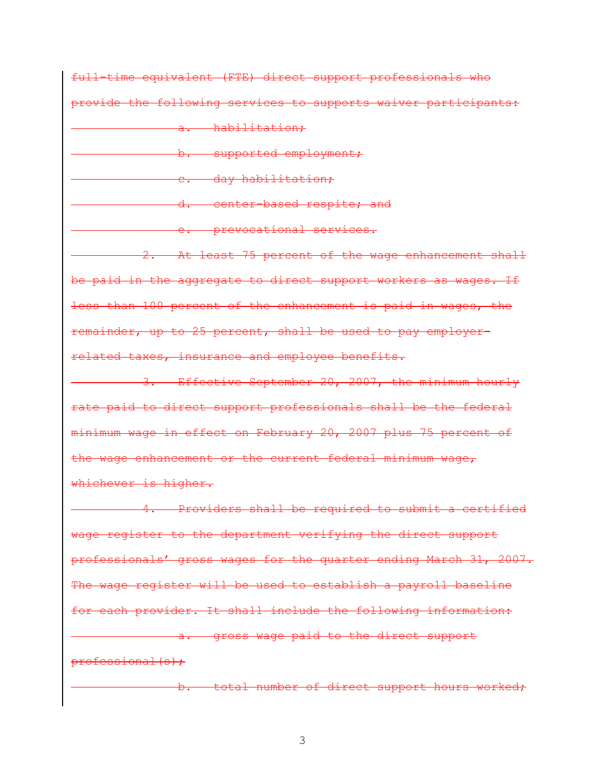full-time equivalent (FTE) direct support professionals who provide the following services to supports waiver participants:

a. habilitation;

b. supported employment;

c. day habilitation;

d. center-based respite; and

e. prevocational services.

2. At least 75 percent of the wage enhancement shall be paid in the aggregate to direct support workers as wages. If less than 100 percent of the enhancement is paid in wages, the remainder, up to 25 percent, shall be used to pay employerrelated taxes, insurance and employee benefits.

3. Effective September 20, 2007, the minimum hourly rate paid to direct support professionals shall be the federal minimum wage in effect on February 20, 2007 plus 75 percent of the wage enhancement or the current federal minimum wage, whichever is higher.

4. Providers shall be required to submit a certified wage register to the department verifying the direct support professionals' gross wages for the quarter ending March 31, 2007. The wage register will be used to establish a payroll baseline for each provider. It shall include the following information: a. gross wage paid to the direct support professional(s);

b. total number of direct support hours worked;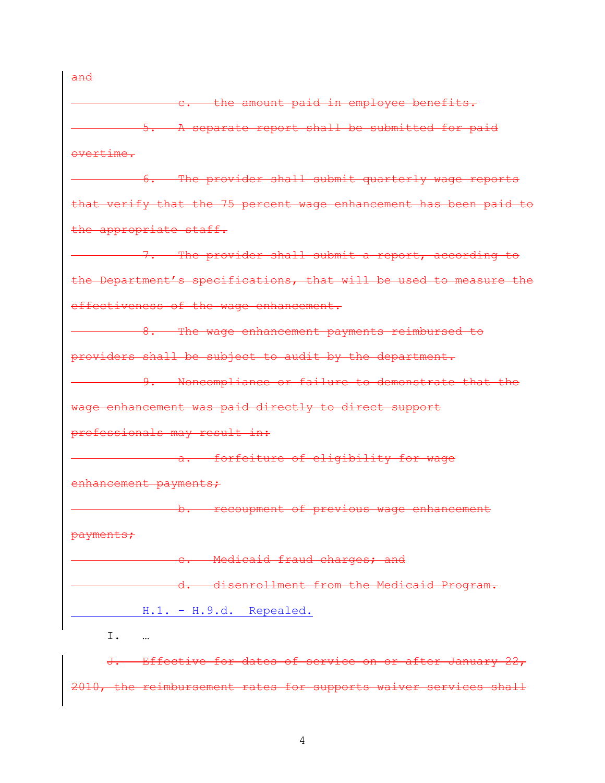c. the amount paid in employee benefits. 5. A separate report shall be submitted for paid overtime. 6. The provider shall submit quarterly wage reports that verify that the 75 percent wage enhancement has been paid to the appropriate staff. 7. The provider shall submit a report, according to the Department's specifications, that will be used to measure the effectiveness of the wage enhancement. 8. The wage enhancement payments reimbursed to providers shall be subject to audit by the department. **9.** Noncompliance or failure to demonstrate that the wage enhancement was paid directly to direct support professionals may result in: a. forfeiture of eligibility for wage enhancement payments; b. recoupment of previous wage enhancement payments; e. Medicaid fraud charges; and d. disenrollment from the Medicaid Program. H.1. - H.9.d. Repealed. I. …

J. Effective for dates of service on or after January 22, 2010, the reimbursement rates for supports waiver services shall

and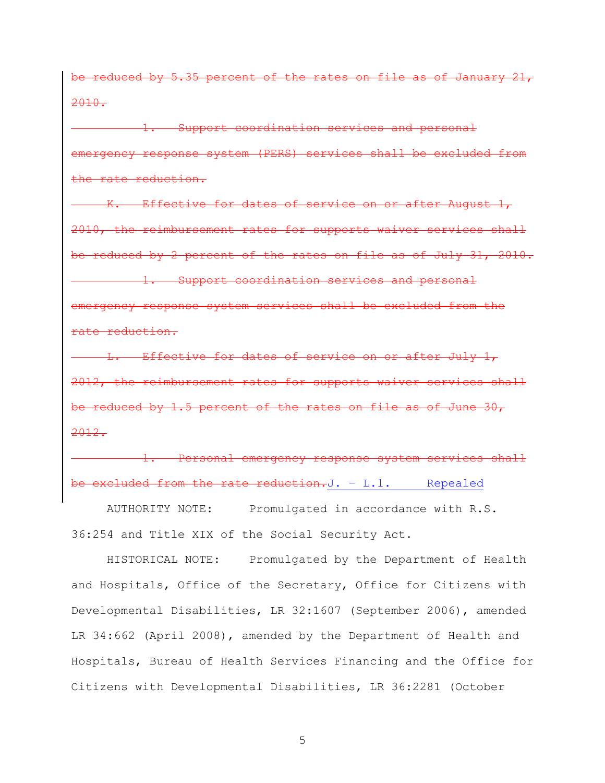be reduced by 5.35 percent of the rates on file as of January 21, 2010.

1. Support coordination services and personal emergency response system (PERS) services shall be excluded from the rate reduction.

Effective for dates of service on or after August 1, 2010, the reimbursement rates for supports waiver services shall be reduced by 2 percent of the rates on file as of July 31, 2010. 1. Support coordination services and personal emergency response system services shall be excluded from the rate reduction.

-Effective for dates of service on or after July  $1_\mathcal{T}$ 2012, the reimbursement rates for supports waiver services shall be reduced by 1.5 percent of the rates on file as of June 30, 2012.

Personal emergency response system services shall excluded from the rate reduction.J. - L.1. Repealed

AUTHORITY NOTE: Promulgated in accordance with R.S. 36:254 and Title XIX of the Social Security Act.

HISTORICAL NOTE: Promulgated by the Department of Health and Hospitals, Office of the Secretary, Office for Citizens with Developmental Disabilities, LR 32:1607 (September 2006), amended LR 34:662 (April 2008), amended by the Department of Health and Hospitals, Bureau of Health Services Financing and the Office for Citizens with Developmental Disabilities, LR 36:2281 (October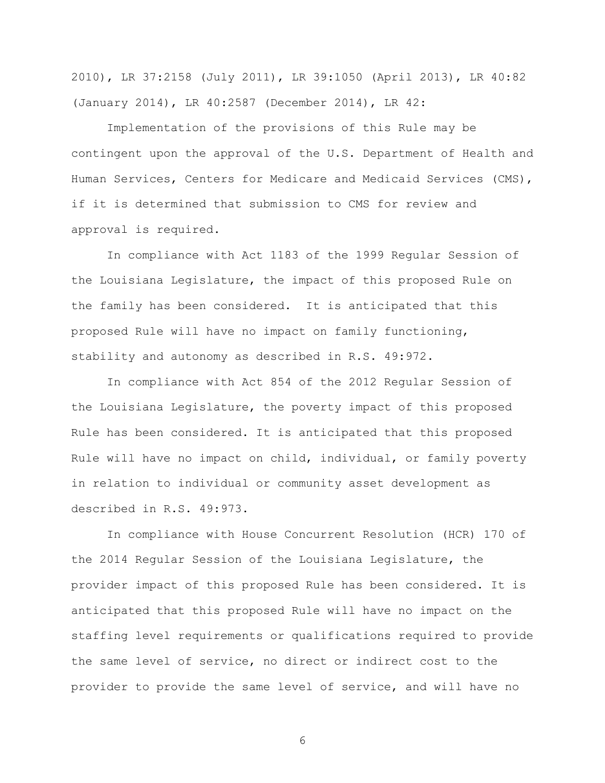2010), LR 37:2158 (July 2011), LR 39:1050 (April 2013), LR 40:82 (January 2014), LR 40:2587 (December 2014), LR 42:

Implementation of the provisions of this Rule may be contingent upon the approval of the U.S. Department of Health and Human Services, Centers for Medicare and Medicaid Services (CMS), if it is determined that submission to CMS for review and approval is required.

In compliance with Act 1183 of the 1999 Regular Session of the Louisiana Legislature, the impact of this proposed Rule on the family has been considered. It is anticipated that this proposed Rule will have no impact on family functioning, stability and autonomy as described in R.S. 49:972.

In compliance with Act 854 of the 2012 Regular Session of the Louisiana Legislature, the poverty impact of this proposed Rule has been considered. It is anticipated that this proposed Rule will have no impact on child, individual, or family poverty in relation to individual or community asset development as described in R.S. 49:973.

In compliance with House Concurrent Resolution (HCR) 170 of the 2014 Regular Session of the Louisiana Legislature, the provider impact of this proposed Rule has been considered. It is anticipated that this proposed Rule will have no impact on the staffing level requirements or qualifications required to provide the same level of service, no direct or indirect cost to the provider to provide the same level of service, and will have no